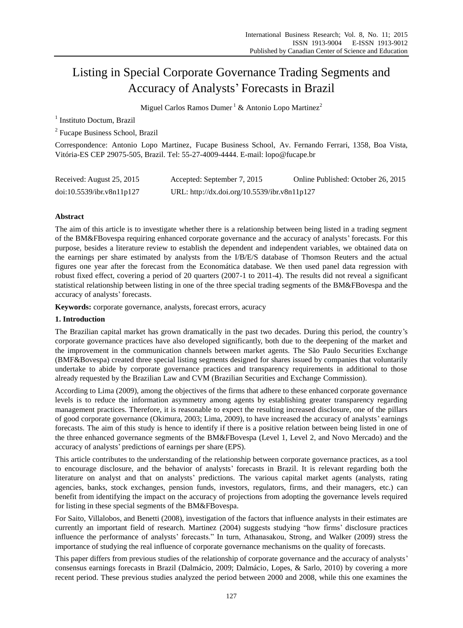# Listing in Special Corporate Governance Trading Segments and Accuracy of Analysts' Forecasts in Brazil

Miguel Carlos Ramos Dumer<sup>1</sup> & Antonio Lopo Martinez<sup>2</sup>

<sup>1</sup> Instituto Doctum, Brazil

<sup>2</sup> Fucape Business School, Brazil

Correspondence: Antonio Lopo Martinez, Fucape Business School, Av. Fernando Ferrari, 1358, Boa Vista, Vitória-ES CEP 29075-505, Brazil. Tel: 55-27-4009-4444. E-mail: lopo@fucape.br

| Received: August 25, 2015 | Accepted: September 7, 2015                  | Online Published: October 26, 2015 |
|---------------------------|----------------------------------------------|------------------------------------|
| doi:10.5539/ibr.v8n11p127 | URL: http://dx.doi.org/10.5539/ibr.v8n11p127 |                                    |

# **Abstract**

The aim of this article is to investigate whether there is a relationship between being listed in a trading segment of the BM&FBovespa requiring enhanced corporate governance and the accuracy of analysts' forecasts. For this purpose, besides a literature review to establish the dependent and independent variables, we obtained data on the earnings per share estimated by analysts from the I/B/E/S database of Thomson Reuters and the actual figures one year after the forecast from the Economática database. We then used panel data regression with robust fixed effect, covering a period of 20 quarters (2007-1 to 2011-4). The results did not reveal a significant statistical relationship between listing in one of the three special trading segments of the BM&FBovespa and the accuracy of analysts' forecasts.

**Keywords:** corporate governance, analysts, forecast errors, acuracy

## **1. Introduction**

The Brazilian capital market has grown dramatically in the past two decades. During this period, the country's corporate governance practices have also developed significantly, both due to the deepening of the market and the improvement in the communication channels between market agents. The São Paulo Securities Exchange (BMF&Bovespa) created three special listing segments designed for shares issued by companies that voluntarily undertake to abide by corporate governance practices and transparency requirements in additional to those already requested by the Brazilian Law and CVM (Brazilian Securities and Exchange Commission).

According to Lima (2009), among the objectives of the firms that adhere to these enhanced corporate governance levels is to reduce the information asymmetry among agents by establishing greater transparency regarding management practices. Therefore, it is reasonable to expect the resulting increased disclosure, one of the pillars of good corporate governance (Okimura, 2003; Lima, 2009), to have increased the accuracy of analysts' earnings forecasts. The aim of this study is hence to identify if there is a positive relation between being listed in one of the three enhanced governance segments of the BM&FBovespa (Level 1, Level 2, and Novo Mercado) and the accuracy of analysts' predictions of earnings per share (EPS).

This article contributes to the understanding of the relationship between corporate governance practices, as a tool to encourage disclosure, and the behavior of analysts' forecasts in Brazil. It is relevant regarding both the literature on analyst and that on analysts' predictions. The various capital market agents (analysts, rating agencies, banks, stock exchanges, pension funds, investors, regulators, firms, and their managers, etc.) can benefit from identifying the impact on the accuracy of projections from adopting the governance levels required for listing in these special segments of the BM&FBovespa.

For Saito, Villalobos, and Benetti (2008), investigation of the factors that influence analysts in their estimates are currently an important field of research. Martinez (2004) suggests studying "how firms' disclosure practices influence the performance of analysts' forecasts." In turn, Athanasakou, Strong, and Walker (2009) stress the importance of studying the real influence of corporate governance mechanisms on the quality of forecasts.

This paper differs from previous studies of the relationship of corporate governance and the accuracy of analysts' consensus earnings forecasts in Brazil (Dalmácio, 2009; Dalmácio, Lopes, & Sarlo, 2010) by covering a more recent period. These previous studies analyzed the period between 2000 and 2008, while this one examines the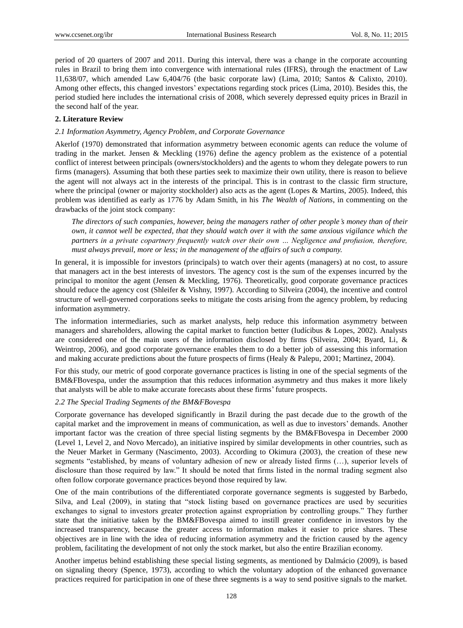period of 20 quarters of 2007 and 2011. During this interval, there was a change in the corporate accounting rules in Brazil to bring them into convergence with international rules (IFRS), through the enactment of Law 11,638/07, which amended Law 6,404/76 (the basic corporate law) (Lima, 2010; Santos & Calixto, 2010). Among other effects, this changed investors' expectations regarding stock prices (Lima, 2010). Besides this, the period studied here includes the international crisis of 2008, which severely depressed equity prices in Brazil in the second half of the year.

# **2. Literature Review**

## *2.1 Information Asymmetry, Agency Problem, and Corporate Governance*

Akerlof (1970) demonstrated that information asymmetry between economic agents can reduce the volume of trading in the market. Jensen & Meckling (1976) define the agency problem as the existence of a potential conflict of interest between principals (owners/stockholders) and the agents to whom they delegate powers to run firms (managers). Assuming that both these parties seek to maximize their own utility, there is reason to believe the agent will not always act in the interests of the principal. This is in contrast to the classic firm structure, where the principal (owner or majority stockholder) also acts as the agent (Lopes & Martins, 2005). Indeed, this problem was identified as early as 1776 by Adam Smith, in his *The Wealth of Nations*, in commenting on the drawbacks of the joint stock company:

*The directors of such companies, however, being the managers rather of other people's money than of their own, it cannot well be expected, that they should watch over it with the same anxious vigilance which the partners in a private copartnery frequently watch over their own … Negligence and profusion, therefore, must always prevail, more or less; in the management of the affairs of such a company.*

In general, it is impossible for investors (principals) to watch over their agents (managers) at no cost, to assure that managers act in the best interests of investors. The agency cost is the sum of the expenses incurred by the principal to monitor the agent (Jensen & Meckling, 1976). Theoretically, good corporate governance practices should reduce the agency cost (Shleifer & Vishny, 1997). According to Silveira (2004), the incentive and control structure of well-governed corporations seeks to mitigate the costs arising from the agency problem, by reducing information asymmetry.

The information intermediaries, such as market analysts, help reduce this information asymmetry between managers and shareholders, allowing the capital market to function better (Iudícibus & Lopes, 2002). Analysts are considered one of the main users of the information disclosed by firms (Silveira, 2004; Byard, Li, & Weintrop, 2006), and good corporate governance enables them to do a better job of assessing this information and making accurate predictions about the future prospects of firms (Healy & Palepu, 2001; Martinez, 2004).

For this study, our metric of good corporate governance practices is listing in one of the special segments of the BM&FBovespa, under the assumption that this reduces information asymmetry and thus makes it more likely that analysts will be able to make accurate forecasts about these firms' future prospects.

## *2.2 The Special Trading Segments of the BM&FBovespa*

Corporate governance has developed significantly in Brazil during the past decade due to the growth of the capital market and the improvement in means of communication, as well as due to investors' demands. Another important factor was the creation of three special listing segments by the BM&FBovespa in December 2000 (Level 1, Level 2, and Novo Mercado), an initiative inspired by similar developments in other countries, such as the Neuer Market in Germany (Nascimento, 2003). According to Okimura (2003), the creation of these new segments "established, by means of voluntary adhesion of new or already listed firms (…), superior levels of disclosure than those required by law." It should be noted that firms listed in the normal trading segment also often follow corporate governance practices beyond those required by law.

One of the main contributions of the differentiated corporate governance segments is suggested by Barbedo, Silva, and Leal (2009), in stating that "stock listing based on governance practices are used by securities exchanges to signal to investors greater protection against expropriation by controlling groups." They further state that the initiative taken by the BM&FBovespa aimed to instill greater confidence in investors by the increased transparency, because the greater access to information makes it easier to price shares. These objectives are in line with the idea of reducing information asymmetry and the friction caused by the agency problem, facilitating the development of not only the stock market, but also the entire Brazilian economy.

Another impetus behind establishing these special listing segments, as mentioned by Dalmácio (2009), is based on signaling theory (Spence, 1973), according to which the voluntary adoption of the enhanced governance practices required for participation in one of these three segments is a way to send positive signals to the market.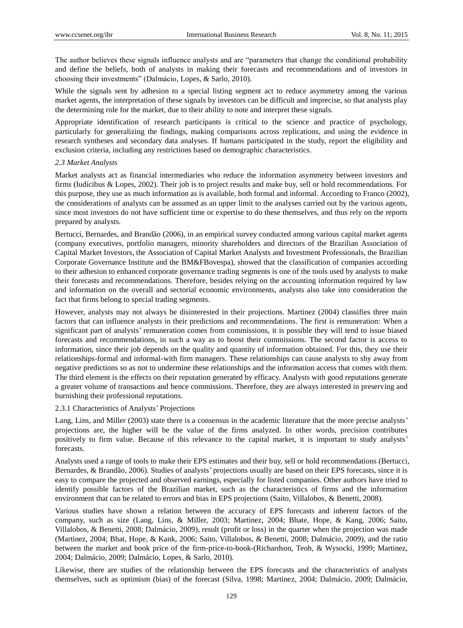The author believes these signals influence analysts and are "parameters that change the conditional probability and define the beliefs, both of analysts in making their forecasts and recommendations and of investors in choosing their investments" (Dalmácio, Lopes, & Sarlo, 2010).

While the signals sent by adhesion to a special listing segment act to reduce asymmetry among the various market agents, the interpretation of these signals by investors can be difficult and imprecise, so that analysts play the determining role for the market, due to their ability to note and interpret these signals.

Appropriate identification of research participants is critical to the science and practice of psychology, particularly for generalizing the findings, making comparisons across replications, and using the evidence in research syntheses and secondary data analyses. If humans participated in the study, report the eligibility and exclusion criteria, including any restrictions based on demographic characteristics.

#### *2.3 Market Analysts*

Market analysts act as financial intermediaries who reduce the information asymmetry between investors and firms (Iudícibus & Lopes, 2002). Their job is to project results and make buy, sell or hold recommendations. For this purpose, they use as much information as is available, both formal and informal. According to Franco (2002), the considerations of analysts can be assumed as an upper limit to the analyses carried out by the various agents, since most investors do not have sufficient time or expertise to do these themselves, and thus rely on the reports prepared by analysts.

Bertucci, Bernardes, and Brandão (2006), in an empirical survey conducted among various capital market agents (company executives, portfolio managers, minority shareholders and directors of the Brazilian Association of Capital Market Investors, the Association of Capital Market Analysts and Investment Professionals, the Brazilian Corporate Governance Institute and the BM&FBovespa), showed that the classification of companies according to their adhesion to enhanced corporate governance trading segments is one of the tools used by analysts to make their forecasts and recommendations. Therefore, besides relying on the accounting information required by law and information on the overall and sectorial economic environments, analysts also take into consideration the fact that firms belong to special trading segments.

However, analysts may not always be disinterested in their projections. Martinez (2004) classifies three main factors that can influence analysts in their predictions and recommendations. The first is remuneration: When a significant part of analysts' remuneration comes from commissions, it is possible they will tend to issue biased forecasts and recommendations, in such a way as to boost their commissions. The second factor is access to information, since their job depends on the quality and quantity of information obtained. For this, they use their relationships-formal and informal-with firm managers. These relationships can cause analysts to shy away from negative predictions so as not to undermine these relationships and the information access that comes with them. The third element is the effects on their reputation generated by efficacy. Analysts with good reputations generate a greater volume of transactions and hence commissions. Therefore, they are always interested in preserving and burnishing their professional reputations.

## 2.3.1 Characteristics of Analysts' Projections

Lang, Lins, and Miller (2003) state there is a consensus in the academic literature that the more precise analysts' projections are, the higher will be the value of the firms analyzed. In other words, precision contributes positively to firm value. Because of this relevance to the capital market, it is important to study analysts' forecasts.

Analysts used a range of tools to make their EPS estimates and their buy, sell or hold recommendations (Bertucci, Bernardes, & Brandão, 2006). Studies of analysts' projections usually are based on their EPS forecasts, since it is easy to compare the projected and observed earnings, especially for listed companies. Other authors have tried to identify possible factors of the Brazilian market, such as the characteristics of firms and the information environment that can be related to errors and bias in EPS projections (Saito, Villalobos, & Benetti, 2008).

Various studies have shown a relation between the accuracy of EPS forecasts and inherent factors of the company, such as size (Lang, Lins, & Miller, 2003; Martinez, 2004; Bhate, Hope, & Kang, 2006; Saito, Villalobos, & Benetti, 2008; Dalmácio, 2009), result (profit or loss) in the quarter when the projection was made (Martinez, 2004; Bhat, Hope, & Kank, 2006; Saito, Villalobos, & Benetti, 2008; Dalmácio, 2009), and the ratio between the market and book price of the firm-price-to-book-(Richardson, Teoh, & Wysocki, 1999; Martinez, 2004; Dalmácio, 2009; Dalmácio, Lopes, & Sarlo, 2010).

Likewise, there are studies of the relationship between the EPS forecasts and the characteristics of analysts themselves, such as optimism (bias) of the forecast (Silva, 1998; Martinez, 2004; Dalmácio, 2009; Dalmácio,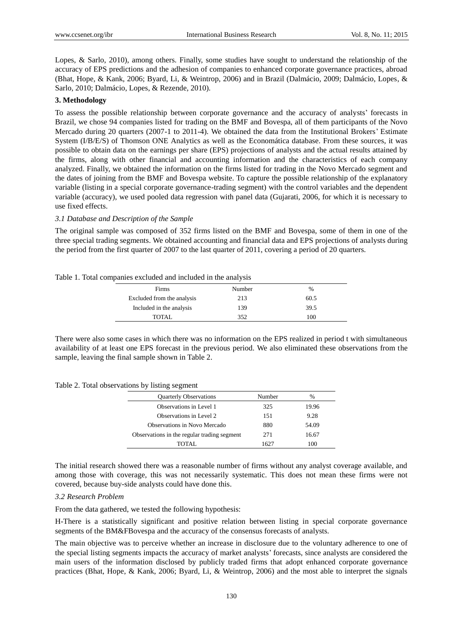Lopes, & Sarlo, 2010), among others. Finally, some studies have sought to understand the relationship of the accuracy of EPS predictions and the adhesion of companies to enhanced corporate governance practices, abroad (Bhat, Hope, & Kank, 2006; Byard, Li, & Weintrop, 2006) and in Brazil (Dalmácio, 2009; Dalmácio, Lopes, & Sarlo, 2010; Dalmácio, Lopes, & Rezende, 2010).

## **3. Methodology**

To assess the possible relationship between corporate governance and the accuracy of analysts' forecasts in Brazil, we chose 94 companies listed for trading on the BMF and Bovespa, all of them participants of the Novo Mercado during 20 quarters (2007-1 to 2011-4). We obtained the data from the Institutional Brokers' Estimate System (I/B/E/S) of Thomson ONE Analytics as well as the Economática database. From these sources, it was possible to obtain data on the earnings per share (EPS) projections of analysts and the actual results attained by the firms, along with other financial and accounting information and the characteristics of each company analyzed. Finally, we obtained the information on the firms listed for trading in the Novo Mercado segment and the dates of joining from the BMF and Bovespa website. To capture the possible relationship of the explanatory variable (listing in a special corporate governance-trading segment) with the control variables and the dependent variable (accuracy), we used pooled data regression with panel data (Gujarati, 2006, for which it is necessary to use fixed effects.

#### *3.1 Database and Description of the Sample*

The original sample was composed of 352 firms listed on the BMF and Bovespa, some of them in one of the three special trading segments. We obtained accounting and financial data and EPS projections of analysts during the period from the first quarter of 2007 to the last quarter of 2011, covering a period of 20 quarters.

#### Table 1. Total companies excluded and included in the analysis

| Firms                      | Number | $\frac{0}{0}$ |
|----------------------------|--------|---------------|
| Excluded from the analysis | 213    | 60.5          |
| Included in the analysis   | 139    | 39.5          |
| TOTAL                      | 352    | 100           |

There were also some cases in which there was no information on the EPS realized in period t with simultaneous availability of at least one EPS forecast in the previous period. We also eliminated these observations from the sample, leaving the final sample shown in Table 2.

Table 2. Total observations by listing segment

| <b>Quarterly Observations</b>               | Number | $\frac{0}{0}$ |
|---------------------------------------------|--------|---------------|
| Observations in Level 1                     | 325    | 19.96         |
| Observations in Level 2                     | 151    | 9.28          |
| <b>Observations in Novo Mercado</b>         | 880    | 54.09         |
| Observations in the regular trading segment | 271    | 16.67         |
| TOTAL.                                      | 1627   | 100           |

The initial research showed there was a reasonable number of firms without any analyst coverage available, and among those with coverage, this was not necessarily systematic. This does not mean these firms were not covered, because buy-side analysts could have done this.

#### *3.2 Research Problem*

From the data gathered, we tested the following hypothesis:

H-There is a statistically significant and positive relation between listing in special corporate governance segments of the BM&FBovespa and the accuracy of the consensus forecasts of analysts.

The main objective was to perceive whether an increase in disclosure due to the voluntary adherence to one of the special listing segments impacts the accuracy of market analysts' forecasts, since analysts are considered the main users of the information disclosed by publicly traded firms that adopt enhanced corporate governance practices (Bhat, Hope, & Kank, 2006; Byard, Li, & Weintrop, 2006) and the most able to interpret the signals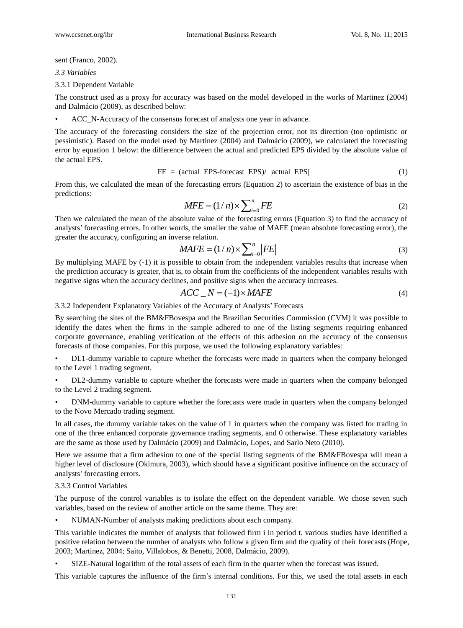sent (Franco, 2002).

*3.3 Variables*

3.3.1 Dependent Variable

The construct used as a proxy for accuracy was based on the model developed in the works of Martinez (2004) and Dalmácio (2009), as described below:

• ACC\_N-Accuracy of the consensus forecast of analysts one year in advance.

The accuracy of the forecasting considers the size of the projection error, not its direction (too optimistic or pessimistic). Based on the model used by Martinez (2004) and Dalmácio (2009), we calculated the forecasting error by equation 1 below: the difference between the actual and predicted EPS divided by the absolute value of the actual EPS.

$$
FE = (actual EPS-forecast EPS) / |actual EPS|
$$
 (1)

From this, we calculated the mean of the forecasting errors (Equation 2) to ascertain the existence of bias in the predictions:

$$
MFE = (1/n) \times \sum_{i=0}^{n} FE
$$
 (2)

Then we calculated the mean of the absolute value of the forecasting errors (Equation 3) to find the accuracy of analysts' forecasting errors. In other words, the smaller the value of MAFE (mean absolute forecasting error), the greater the accuracy, configuring an inverse relation.

$$
MAFE = (1/n) \times \sum_{i=0}^{n} |FE|
$$
 (3)

By multiplying MAFE by (-1) it is possible to obtain from the independent variables results that increase when the prediction accuracy is greater, that is, to obtain from the coefficients of the independent variables results with negative signs when the accuracy declines, and positive signs when the accuracy increases.

$$
ACC_N = (-1) \times MAFE
$$
 (4)

3.3.2 Independent Explanatory Variables of the Accuracy of Analysts' Forecasts

By searching the sites of the BM&FBovespa and the Brazilian Securities Commission (CVM) it was possible to identify the dates when the firms in the sample adhered to one of the listing segments requiring enhanced corporate governance, enabling verification of the effects of this adhesion on the accuracy of the consensus forecasts of those companies. For this purpose, we used the following explanatory variables:

• DL1-dummy variable to capture whether the forecasts were made in quarters when the company belonged to the Level 1 trading segment.

• DL2-dummy variable to capture whether the forecasts were made in quarters when the company belonged to the Level 2 trading segment.

• DNM-dummy variable to capture whether the forecasts were made in quarters when the company belonged to the Novo Mercado trading segment.

In all cases, the dummy variable takes on the value of 1 in quarters when the company was listed for trading in one of the three enhanced corporate governance trading segments, and 0 otherwise. These explanatory variables are the same as those used by Dalmácio (2009) and Dalmácio, Lopes, and Sarlo Neto (2010).

Here we assume that a firm adhesion to one of the special listing segments of the BM&FBovespa will mean a higher level of disclosure (Okimura, 2003), which should have a significant positive influence on the accuracy of analysts' forecasting errors.

## 3.3.3 Control Variables

The purpose of the control variables is to isolate the effect on the dependent variable. We chose seven such variables, based on the review of another article on the same theme. They are:

• NUMAN-Number of analysts making predictions about each company.

This variable indicates the number of analysts that followed firm i in period t. various studies have identified a positive relation between the number of analysts who follow a given firm and the quality of their forecasts (Hope, 2003; Martinez, 2004; Saito, Villalobos, & Benetti, 2008, Dalmácio, 2009).

• SIZE-Natural logarithm of the total assets of each firm in the quarter when the forecast was issued.

This variable captures the influence of the firm's internal conditions. For this, we used the total assets in each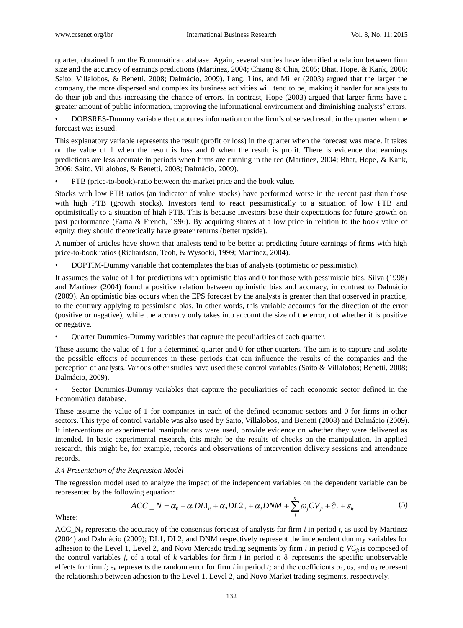quarter, obtained from the Economática database. Again, several studies have identified a relation between firm size and the accuracy of earnings predictions (Martinez, 2004; Chiang & Chia, 2005; Bhat, Hope, & Kank, 2006; Saito, Villalobos, & Benetti, 2008; Dalmácio, 2009). Lang, Lins, and Miller (2003) argued that the larger the company, the more dispersed and complex its business activities will tend to be, making it harder for analysts to do their job and thus increasing the chance of errors. In contrast, Hope (2003) argued that larger firms have a greater amount of public information, improving the informational environment and diminishing analysts' errors.

• DOBSRES-Dummy variable that captures information on the firm's observed result in the quarter when the forecast was issued.

This explanatory variable represents the result (profit or loss) in the quarter when the forecast was made. It takes on the value of 1 when the result is loss and 0 when the result is profit. There is evidence that earnings predictions are less accurate in periods when firms are running in the red (Martinez, 2004; Bhat, Hope, & Kank, 2006; Saito, Villalobos, & Benetti, 2008; Dalmácio, 2009).

• PTB (price-to-book)-ratio between the market price and the book value.

Stocks with low PTB ratios (an indicator of value stocks) have performed worse in the recent past than those with high PTB (growth stocks). Investors tend to react pessimistically to a situation of low PTB and optimistically to a situation of high PTB. This is because investors base their expectations for future growth on past performance (Fama & French, 1996). By acquiring shares at a low price in relation to the book value of equity, they should theoretically have greater returns (better upside).

A number of articles have shown that analysts tend to be better at predicting future earnings of firms with high price-to-book ratios (Richardson, Teoh, & Wysocki, 1999; Martinez, 2004).

• DOPTIM-Dummy variable that contemplates the bias of analysts (optimistic or pessimistic).

It assumes the value of 1 for predictions with optimistic bias and 0 for those with pessimistic bias. Silva (1998) and Martinez (2004) found a positive relation between optimistic bias and accuracy, in contrast to Dalmácio (2009). An optimistic bias occurs when the EPS forecast by the analysts is greater than that observed in practice, to the contrary applying to pessimistic bias. In other words, this variable accounts for the direction of the error (positive or negative), while the accuracy only takes into account the size of the error, not whether it is positive or negative.

• Quarter Dummies-Dummy variables that capture the peculiarities of each quarter.

These assume the value of 1 for a determined quarter and 0 for other quarters. The aim is to capture and isolate the possible effects of occurrences in these periods that can influence the results of the companies and the perception of analysts. Various other studies have used these control variables (Saito & Villalobos; Benetti, 2008; Dalmácio, 2009).

• Sector Dummies-Dummy variables that capture the peculiarities of each economic sector defined in the Economática database.

These assume the value of 1 for companies in each of the defined economic sectors and 0 for firms in other sectors. This type of control variable was also used by Saito, Villalobos, and Benetti (2008) and Dalmácio (2009). If interventions or experimental manipulations were used, provide evidence on whether they were delivered as intended. In basic experimental research, this might be the results of checks on the manipulation. In applied research, this might be, for example, records and observations of intervention delivery sessions and attendance records.

#### *3.4 Presentation of the Regression Model*

The regression model used to analyze the impact of the independent variables on the dependent variable can be represented by the following equation:<br>  $ACC_-N = \alpha_0 + \alpha_1 D L1_{it} + \alpha_2 D L2_{it} + \alpha_3 DNM + \sum_{i}^{k} \omega_j CV_{jt} + \hat{C}_1 + \varepsilon_{it}$  represented by the following equation:

$$
ACC_N = \alpha_0 + \alpha_1 D L1_{it} + \alpha_2 D L2_{it} + \alpha_3 DNM + \sum_{j}^{k} \omega_j CV_{jt} + \hat{C}_1 + \varepsilon_{it}
$$
 (5)

Where:

ACC  $N_{it}$  represents the accuracy of the consensus forecast of analysts for firm *i* in period *t*, as used by Martinez (2004) and Dalmácio (2009); DL1, DL2, and DNM respectively represent the independent dummy variables for adhesion to the Level 1, Level 2, and Novo Mercado trading segments by firm  $i$  in period  $t$ ;  $VC_i$  is composed of the control variables *j*, of a total of *k* variables for firm *i* in period *t*;  $\delta_i$  represents the specific unobservable effects for firm *i*;  $e_{it}$  represents the random error for firm *i* in period *t*; and the coefficients  $\alpha_1$ ,  $\alpha_2$ , and  $\alpha_3$  represent the relationship between adhesion to the Level 1, Level 2, and Novo Market trading segments, respectively.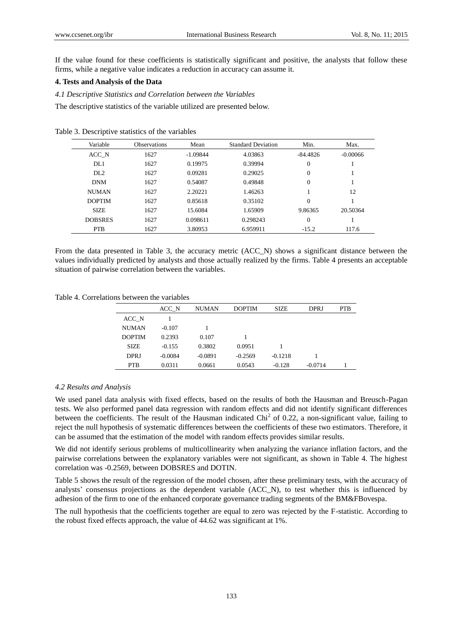If the value found for these coefficients is statistically significant and positive, the analysts that follow these firms, while a negative value indicates a reduction in accuracy can assume it.

# **4. Tests and Analysis of the Data**

*4.1 Descriptive Statistics and Correlation between the Variables*

The descriptive statistics of the variable utilized are presented below.

| Variable        | <b>Observations</b> | Mean       | <b>Standard Deviation</b> | Min.       | Max.       |
|-----------------|---------------------|------------|---------------------------|------------|------------|
| ACC N           | 1627                | $-1.09844$ | 4.03863                   | $-84.4826$ | $-0.00066$ |
| DL1             | 1627                | 0.19975    | 0.39994                   | $\theta$   |            |
| DL <sub>2</sub> | 1627                | 0.09281    | 0.29025                   | $\Omega$   |            |
| <b>DNM</b>      | 1627                | 0.54087    | 0.49848                   | $\theta$   |            |
| <b>NUMAN</b>    | 1627                | 2.20221    | 1.46263                   |            | 12         |
| <b>DOPTIM</b>   | 1627                | 0.85618    | 0.35102                   | $\theta$   |            |
| <b>SIZE</b>     | 1627                | 15.6084    | 1.65909                   | 9.86365    | 20.50364   |
| <b>DOBSRES</b>  | 1627                | 0.098611   | 0.298243                  | $\Omega$   |            |
| <b>PTB</b>      | 1627                | 3.80953    | 6.959911                  | $-15.2$    | 117.6      |

Table 3. Descriptive statistics of the variables

From the data presented in Table 3, the accuracy metric (ACC\_N) shows a significant distance between the values individually predicted by analysts and those actually realized by the firms. Table 4 presents an acceptable situation of pairwise correlation between the variables.

Table 4. Correlations between the variables

|               | ACC N     | NUMAN     | <b>DOPTIM</b> | <b>SIZE</b> | DPRJ      | <b>PTB</b> |
|---------------|-----------|-----------|---------------|-------------|-----------|------------|
| ACC N         |           |           |               |             |           |            |
| <b>NUMAN</b>  | $-0.107$  |           |               |             |           |            |
| <b>DOPTIM</b> | 0.2393    | 0.107     |               |             |           |            |
| <b>SIZE</b>   | $-0.155$  | 0.3802    | 0.0951        |             |           |            |
| DPRJ          | $-0.0084$ | $-0.0891$ | $-0.2569$     | $-0.1218$   |           |            |
| <b>PTB</b>    | 0.0311    | 0.0661    | 0.0543        | $-0.128$    | $-0.0714$ |            |

## *4.2 Results and Analysis*

We used panel data analysis with fixed effects, based on the results of both the Hausman and Breusch-Pagan tests. We also performed panel data regression with random effects and did not identify significant differences between the coefficients. The result of the Hausman indicated  $Chi<sup>2</sup>$  of 0.22, a non-significant value, failing to reject the null hypothesis of systematic differences between the coefficients of these two estimators. Therefore, it can be assumed that the estimation of the model with random effects provides similar results.

We did not identify serious problems of multicollinearity when analyzing the variance inflation factors, and the pairwise correlations between the explanatory variables were not significant, as shown in Table 4. The highest correlation was -0.2569, between DOBSRES and DOTIN.

Table 5 shows the result of the regression of the model chosen, after these preliminary tests, with the accuracy of analysts' consensus projections as the dependent variable (ACC\_N), to test whether this is influenced by adhesion of the firm to one of the enhanced corporate governance trading segments of the BM&FBovespa.

The null hypothesis that the coefficients together are equal to zero was rejected by the F-statistic. According to the robust fixed effects approach, the value of 44.62 was significant at 1%.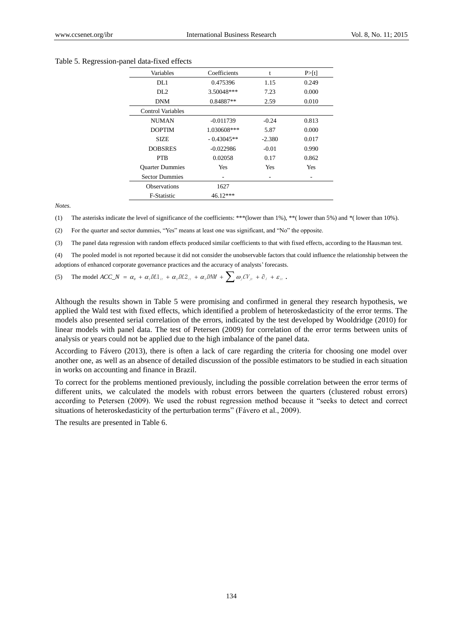#### Table 5. Regression-panel data-fixed effects

| Variables                | Coefficients | t        | P > [t] |
|--------------------------|--------------|----------|---------|
| DL1                      | 0.475396     | 1.15     | 0.249   |
| DL <sub>2</sub>          | 3.50048***   | 7.23     | 0.000   |
| <b>DNM</b>               | 0.84887**    | 2.59     | 0.010   |
| <b>Control Variables</b> |              |          |         |
| NUMAN                    | $-0.011739$  | $-0.24$  | 0.813   |
| <b>DOPTIM</b>            | 1.030608***  | 5.87     | 0.000   |
| <b>SIZE</b>              | $-0.43045**$ | $-2.380$ | 0.017   |
| <b>DOBSRES</b>           | $-0.022986$  | $-0.01$  | 0.990   |
| <b>PTB</b>               | 0.02058      | 0.17     | 0.862   |
| <b>Ouarter Dummies</b>   | Yes          | Yes      | Yes     |
| <b>Sector Dummies</b>    | -            | ٠        |         |
| <b>Observations</b>      | 1627         |          |         |
| <b>F-Statistic</b>       | 46.12***     |          |         |

*Notes.*

(1) The asterisks indicate the level of significance of the coefficients: \*\*\*(lower than 1%), \*\*( lower than 5%) and \*( lower than 10%).

(2) For the quarter and sector dummies, "Yes" means at least one was significant, and "No" the opposite.

(3) The panel data regression with random effects produced similar coefficients to that with fixed effects, according to the Hausman test.

(4) The pooled model is not reported because it did not consider the unobservable factors that could influence the relationship between the adoptions of enhanced corporate governance practices and the accuracy of analysts' forecasts.

(5) The model  $ACC\_N = \alpha_0 + \alpha_1 D L1_{it} + \alpha_2 D L2_{it} + \alpha_3 DNM + \sum \omega_j CV_{jt} + \hat{\sigma}_i + \varepsilon_{it}$ .

Although the results shown in Table 5 were promising and confirmed in general they research hypothesis, we applied the Wald test with fixed effects, which identified a problem of heteroskedasticity of the error terms. The models also presented serial correlation of the errors, indicated by the test developed by Wooldridge (2010) for linear models with panel data. The test of Petersen (2009) for correlation of the error terms between units of analysis or years could not be applied due to the high imbalance of the panel data.

According to Fávero (2013), there is often a lack of care regarding the criteria for choosing one model over another one, as well as an absence of detailed discussion of the possible estimators to be studied in each situation in works on accounting and finance in Brazil.

To correct for the problems mentioned previously, including the possible correlation between the error terms of different units, we calculated the models with robust errors between the quarters (clustered robust errors) according to Petersen (2009). We used the robust regression method because it "seeks to detect and correct situations of heteroskedasticity of the perturbation terms" (Fávero et al., 2009).

The results are presented in Table 6.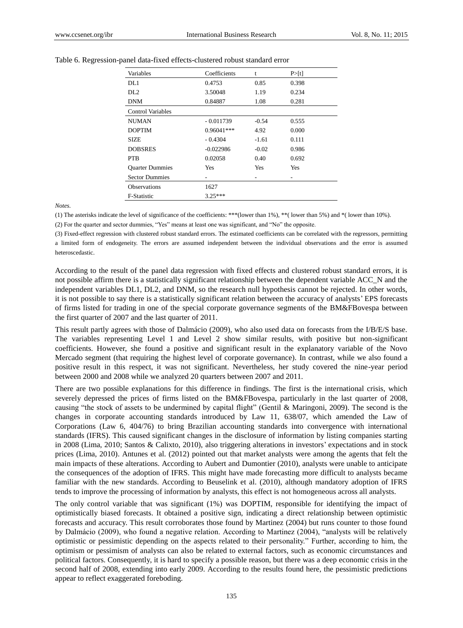| Variables                | Coefficients | t       | P > [t] |
|--------------------------|--------------|---------|---------|
| DL1                      | 0.4753       | 0.85    | 0.398   |
| DL <sub>2</sub>          | 3.50048      | 1.19    | 0.234   |
| <b>DNM</b>               | 0.84887      | 1.08    | 0.281   |
| <b>Control Variables</b> |              |         |         |
| <b>NUMAN</b>             | $-0.011739$  | $-0.54$ | 0.555   |
| <b>DOPTIM</b>            | $0.96041***$ | 4.92    | 0.000   |
| <b>SIZE</b>              | $-0.4304$    | -1.61   | 0.111   |
| <b>DOBSRES</b>           | $-0.022986$  | $-0.02$ | 0.986   |
| <b>PTB</b>               | 0.02058      | 0.40    | 0.692   |
| <b>Ouarter Dummies</b>   | Yes          | Yes     | Yes     |
| <b>Sector Dummies</b>    |              |         | ۰       |
| <b>Observations</b>      | 1627         |         |         |
| <b>F-Statistic</b>       | $3.25***$    |         |         |

Table 6. Regression-panel data-fixed effects-clustered robust standard error

*Notes.*

(1) The asterisks indicate the level of significance of the coefficients: \*\*\*(lower than 1%), \*\*( lower than 5%) and \*( lower than 10%).

(2) For the quarter and sector dummies, "Yes" means at least one was significant, and "No" the opposite.

(3) Fixed-effect regression with clustered robust standard errors. The estimated coefficients can be correlated with the regressors, permitting a limited form of endogeneity. The errors are assumed independent between the individual observations and the error is assumed heteroscedastic.

According to the result of the panel data regression with fixed effects and clustered robust standard errors, it is not possible affirm there is a statistically significant relationship between the dependent variable ACC\_N and the independent variables DL1, DL2, and DNM, so the research null hypothesis cannot be rejected. In other words, it is not possible to say there is a statistically significant relation between the accuracy of analysts' EPS forecasts of firms listed for trading in one of the special corporate governance segments of the BM&FBovespa between the first quarter of 2007 and the last quarter of 2011.

This result partly agrees with those of Dalmácio (2009), who also used data on forecasts from the I/B/E/S base. The variables representing Level 1 and Level 2 show similar results, with positive but non-significant coefficients. However, she found a positive and significant result in the explanatory variable of the Novo Mercado segment (that requiring the highest level of corporate governance). In contrast, while we also found a positive result in this respect, it was not significant. Nevertheless, her study covered the nine-year period between 2000 and 2008 while we analyzed 20 quarters between 2007 and 2011.

There are two possible explanations for this difference in findings. The first is the international crisis, which severely depressed the prices of firms listed on the BM&FBovespa, particularly in the last quarter of 2008, causing "the stock of assets to be undermined by capital flight" (Gentil & Maringoni, 2009). The second is the changes in corporate accounting standards introduced by Law 11, 638/07, which amended the Law of Corporations (Law 6, 404/76) to bring Brazilian accounting standards into convergence with international standards (IFRS). This caused significant changes in the disclosure of information by listing companies starting in 2008 (Lima, 2010; Santos & Calixto, 2010), also triggering alterations in investors' expectations and in stock prices (Lima, 2010). Antunes et al. (2012) pointed out that market analysts were among the agents that felt the main impacts of these alterations. According to Aubert and Dumontier (2010), analysts were unable to anticipate the consequences of the adoption of IFRS. This might have made forecasting more difficult to analysts became familiar with the new standards. According to Beuselink et al. (2010), although mandatory adoption of IFRS tends to improve the processing of information by analysts, this effect is not homogeneous across all analysts.

The only control variable that was significant (1%) was DOPTIM, responsible for identifying the impact of optimistically biased forecasts. It obtained a positive sign, indicating a direct relationship between optimistic forecasts and accuracy. This result corroborates those found by Martinez (2004) but runs counter to those found by Dalmácio (2009), who found a negative relation. According to Martinez (2004), "analysts will be relatively optimistic or pessimistic depending on the aspects related to their personality." Further, according to him, the optimism or pessimism of analysts can also be related to external factors, such as economic circumstances and political factors. Consequently, it is hard to specify a possible reason, but there was a deep economic crisis in the second half of 2008, extending into early 2009. According to the results found here, the pessimistic predictions appear to reflect exaggerated foreboding.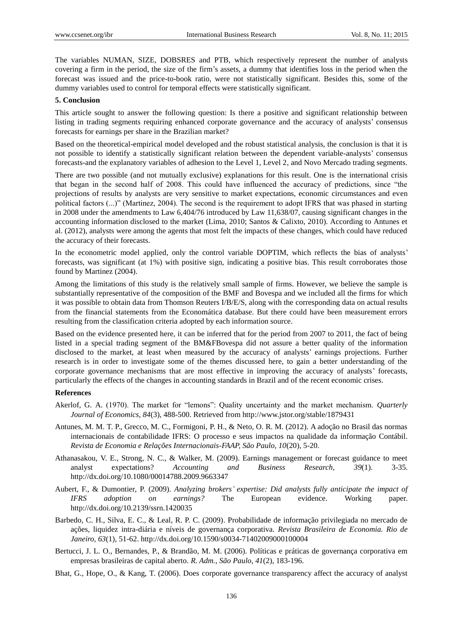The variables NUMAN, SIZE, DOBSRES and PTB, which respectively represent the number of analysts covering a firm in the period, the size of the firm's assets, a dummy that identifies loss in the period when the forecast was issued and the price-to-book ratio, were not statistically significant. Besides this, some of the dummy variables used to control for temporal effects were statistically significant.

#### **5. Conclusion**

This article sought to answer the following question: Is there a positive and significant relationship between listing in trading segments requiring enhanced corporate governance and the accuracy of analysts' consensus forecasts for earnings per share in the Brazilian market?

Based on the theoretical-empirical model developed and the robust statistical analysis, the conclusion is that it is not possible to identify a statistically significant relation between the dependent variable-analysts' consensus forecasts-and the explanatory variables of adhesion to the Level 1, Level 2, and Novo Mercado trading segments.

There are two possible (and not mutually exclusive) explanations for this result. One is the international crisis that began in the second half of 2008. This could have influenced the accuracy of predictions, since "the projections of results by analysts are very sensitive to market expectations, economic circumstances and even political factors (...)" (Martinez, 2004). The second is the requirement to adopt IFRS that was phased in starting in 2008 under the amendments to Law 6,404/76 introduced by Law 11,638/07, causing significant changes in the accounting information disclosed to the market (Lima, 2010; Santos & Calixto, 2010). According to Antunes et al. (2012), analysts were among the agents that most felt the impacts of these changes, which could have reduced the accuracy of their forecasts.

In the econometric model applied, only the control variable DOPTIM, which reflects the bias of analysts' forecasts, was significant (at 1%) with positive sign, indicating a positive bias. This result corroborates those found by Martinez (2004).

Among the limitations of this study is the relatively small sample of firms. However, we believe the sample is substantially representative of the composition of the BMF and Bovespa and we included all the firms for which it was possible to obtain data from Thomson Reuters I/B/E/S, along with the corresponding data on actual results from the financial statements from the Economática database. But there could have been measurement errors resulting from the classification criteria adopted by each information source.

Based on the evidence presented here, it can be inferred that for the period from 2007 to 2011, the fact of being listed in a special trading segment of the BM&FBovespa did not assure a better quality of the information disclosed to the market, at least when measured by the accuracy of analysts' earnings projections. Further research is in order to investigate some of the themes discussed here, to gain a better understanding of the corporate governance mechanisms that are most effective in improving the accuracy of analysts' forecasts, particularly the effects of the changes in accounting standards in Brazil and of the recent economic crises.

## **References**

- Akerlof, G. A. (1970). The market for "lemons": Quality uncertainty and the market mechanism. *Quarterly Journal of Economics, 84*(3), 488-500. Retrieved from http://www.jstor.org/stable/1879431
- Antunes, M. M. T. P., Grecco, M. C., Formigoni, P. H., & Neto, O. R. M. (2012). A adoção no Brasil das normas internacionais de contabilidade IFRS: O processo e seus impactos na qualidade da informação Contábil. *Revista de Economia e Relações Internacionais-FAAP, São Paulo, 10*(20), 5-20.
- Athanasakou, V. E., Strong, N. C., & Walker, M. (2009). Earnings management or forecast guidance to meet analyst expectations? *Accounting and Business Research, 39*(1). 3-35. http://dx.doi.org/10.1080/00014788.2009.9663347
- Aubert, F., & Dumontier, P. (2009). *Analyzing brokers' expertise: Did analysts fully anticipate the impact of IFRS adoption on earnings?* The European evidence. Working paper. <http://dx.doi.org/10.2139/ssrn.1420035>
- Barbedo, C. H., Silva, E. C., & Leal, R. P. C. (2009). Probabilidade de informação privilegiada no mercado de ações, liquidez intra-diária e níveis de governança corporativa. *Revista Brasileira de Economia. Rio de Janeiro, 63*(1), 51-62. <http://dx.doi.org/10.1590/s0034-71402009000100004>
- Bertucci, J. L. O., Bernandes, P., & Brandão, M. M. (2006). Políticas e práticas de governança corporativa em empresas brasileiras de capital aberto. *R. Adm., São Paulo, 41*(2), 183-196.
- Bhat, G., Hope, O., & Kang, T. (2006). Does corporate governance transparency affect the accuracy of analyst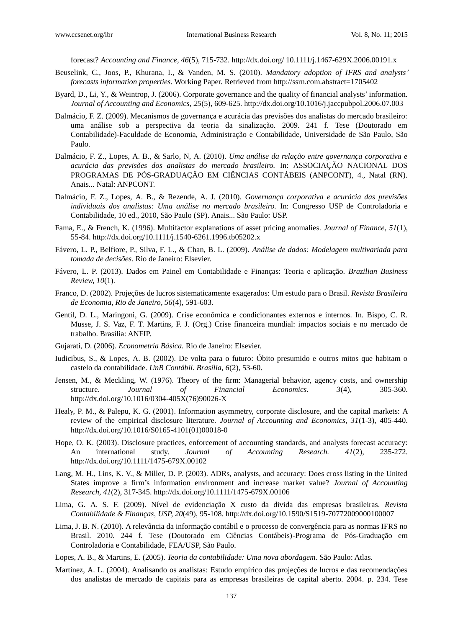forecast? *Accounting and Finance, 46*(5), 715-732. http://dx.doi.org/ 10.1111/j.1467-629X.2006.00191.x

- Beuselink, C., Joos, P., Khurana, I., & Vanden, M. S. (2010). *Mandatory adoption of IFRS and analysts' forecasts information properties.* Working Paper. Retrieved from http://ssrn.com.abstract=1705402
- Byard, D., Li, Y., & Weintrop, J. (2006). Corporate governance and the quality of financial analysts' information. *Journal of Accounting and Economics, 25*(5), 609-625. http://dx.doi.org/10.1016/j.jaccpubpol.2006.07.003
- Dalmácio, F. Z. (2009). Mecanismos de governança e acurácia das previsões dos analistas do mercado brasileiro: uma análise sob a perspectiva da teoria da sinalização. 2009. 241 f. Tese (Doutorado em Contabilidade)-Faculdade de Economia, Administração e Contabilidade, Universidade de São Paulo, São Paulo.
- Dalmácio, F. Z., Lopes, A. B., & Sarlo, N, A. (2010). *Uma análise da relação entre governança corporativa e acurácia das previsões dos analistas do mercado brasileiro.* In: ASSOCIAÇ Ã O NACIONAL DOS PROGRAMAS DE PÓ S-GRADUAÇ Ã O EM CIÊNCIAS CONTÁ BEIS (ANPCONT), 4., Natal (RN). Anais... Natal: ANPCONT.
- Dalmácio, F. Z., Lopes, A. B., & Rezende, A. J. (2010). *Governança corporativa e acurácia das previsões individuais dos analistas: Uma análise no mercado brasileiro.* In: Congresso USP de Controladoria e Contabilidade, 10 ed., 2010, São Paulo (SP). Anais... São Paulo: USP.
- Fama, E., & French, K. (1996). Multifactor explanations of asset pricing anomalies. *Journal of Finance, 51*(1), 55-84. http://dx.doi.org/10.1111/j.1540-6261.1996.tb05202.x
- Fávero, L. P., Belfiore, P., Silva, F. L., & Chan, B. L. (2009). *Análise de dados: Modelagem multivariada para tomada de decisões.* Rio de Janeiro: Elsevier.
- Fávero, L. P. (2013). Dados em Painel em Contabilidade e Finanças: Teoria e aplicação. *Brazilian Business Review, 10*(1).
- Franco, D. (2002). Projeções de lucros sistematicamente exagerados: Um estudo para o Brasil. *Revista Brasileira de Economia, Rio de Janeiro, 56*(4), 591-603.
- Gentil, D. L., Maringoni, G. (2009). Crise econômica e condicionantes externos e internos. In. Bispo, C. R. Musse, J. S. Vaz, F. T. Martins, F. J. (Org.) Crise financeira mundial: impactos sociais e no mercado de trabalho. Brasília: ANFIP.
- Gujarati, D. (2006). *Econometria Básica.* Rio de Janeiro: Elsevier.
- Iudicibus, S., & Lopes, A. B. (2002). De volta para o futuro: Ó bito presumido e outros mitos que habitam o castelo da contabilidade. *UnB Contábil. Brasília, 6*(2), 53-60.
- Jensen, M., & Meckling, W. (1976). Theory of the firm: Managerial behavior, agency costs, and ownership structure. *Journal of Financial Economics. 3*(4), 305-360. http://dx.doi.org/10.1016/0304-405X(76)90026-X
- Healy, P. M., & Palepu, K. G. (2001). Information asymmetry, corporate disclosure, and the capital markets: A review of the empirical disclosure literature. *Journal of Accounting and Economics, 31*(1-3), 405-440. http://dx.doi.org/10.1016/S0165-4101(01)00018-0
- Hope, O. K. (2003). Disclosure practices, enforcement of accounting standards, and analysts forecast accuracy: An international study. *Journal of Accounting Research. 41*(2), 235-272. <http://dx.doi.org/10.1111/1475-679X.00102>
- Lang, M. H., Lins, K. V., & Miller, D. P. (2003). ADRs, analysts, and accuracy: Does cross listing in the United States improve a firm's information environment and increase market value? *Journal of Accounting Research, 41*(2), 317-345. http://dx.doi.org/10.1111/1475-679X.00106
- Lima, G. A. S. F. (2009). Nível de evidenciação X custo da divida das empresas brasileiras. *Revista Contabilidade & Finanças*, *USP, 20*(49), 95-108. <http://dx.doi.org/10.1590/S1519-70772009000100007>
- Lima, J. B. N. (2010). A relevância da informação contábil e o processo de convergência para as normas IFRS no Brasil. 2010. 244 f. Tese (Doutorado em Ciências Contábeis)-Programa de Pós-Graduação em Controladoria e Contabilidade, FEA/USP, São Paulo.
- Lopes, A. B., & Martins, E. (2005). *Teoria da contabilidade: Uma nova abordagem.* São Paulo: Atlas.
- Martinez, A. L. (2004). Analisando os analistas: Estudo empírico das projeções de lucros e das recomendações dos analistas de mercado de capitais para as empresas brasileiras de capital aberto. 2004. p. 234. Tese